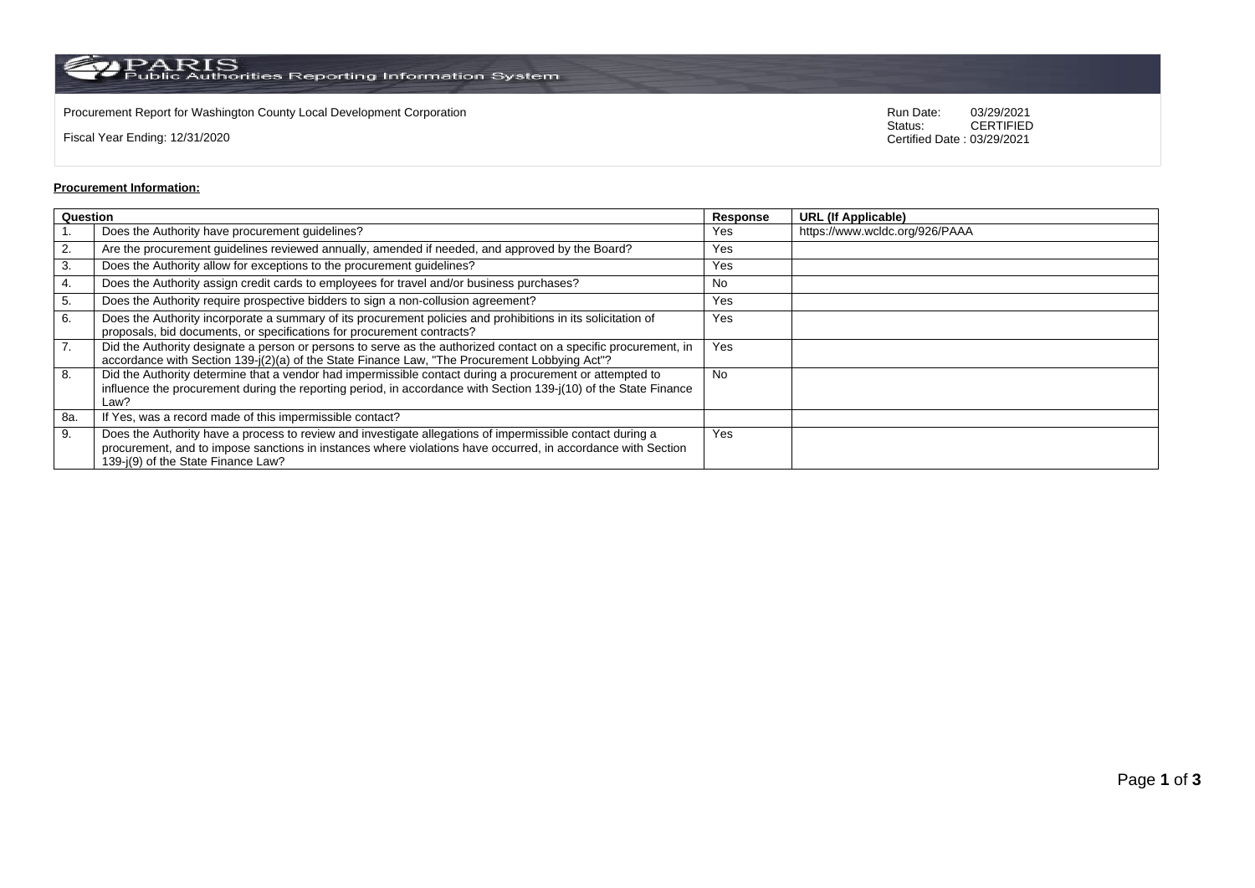PARIS<br>Public Authorities Reporting Information System

Procurement Report for Washington County Local Development Corporation **Run Date:** 03/29/2021<br>Status: CERTIFIED

Fiscal Year Ending: 12/31/2020

CERTIFIED Certified Date : 03/29/2021

## **Procurement Information:**

| Question |                                                                                                                                                                                                                                                                 | Response  | <b>URL (If Applicable)</b>     |
|----------|-----------------------------------------------------------------------------------------------------------------------------------------------------------------------------------------------------------------------------------------------------------------|-----------|--------------------------------|
|          | Does the Authority have procurement guidelines?                                                                                                                                                                                                                 | Yes       | https://www.wcldc.org/926/PAAA |
| 2.       | Are the procurement guidelines reviewed annually, amended if needed, and approved by the Board?                                                                                                                                                                 | Yes       |                                |
| 3.       | Does the Authority allow for exceptions to the procurement guidelines?                                                                                                                                                                                          | Yes       |                                |
| 4.       | Does the Authority assign credit cards to employees for travel and/or business purchases?                                                                                                                                                                       | No        |                                |
| 5.       | Does the Authority require prospective bidders to sign a non-collusion agreement?                                                                                                                                                                               | Yes       |                                |
| 6.       | Does the Authority incorporate a summary of its procurement policies and prohibitions in its solicitation of<br>proposals, bid documents, or specifications for procurement contracts?                                                                          | Yes       |                                |
| 7.       | Did the Authority designate a person or persons to serve as the authorized contact on a specific procurement, in<br>accordance with Section 139-j(2)(a) of the State Finance Law, "The Procurement Lobbying Act"?                                               | Yes       |                                |
| 8.       | Did the Authority determine that a vendor had impermissible contact during a procurement or attempted to<br>influence the procurement during the reporting period, in accordance with Section 139-j(10) of the State Finance<br>Law?                            | <b>No</b> |                                |
| 8a.      | If Yes, was a record made of this impermissible contact?                                                                                                                                                                                                        |           |                                |
| 9.       | Does the Authority have a process to review and investigate allegations of impermissible contact during a<br>procurement, and to impose sanctions in instances where violations have occurred, in accordance with Section<br>139-j(9) of the State Finance Law? | Yes       |                                |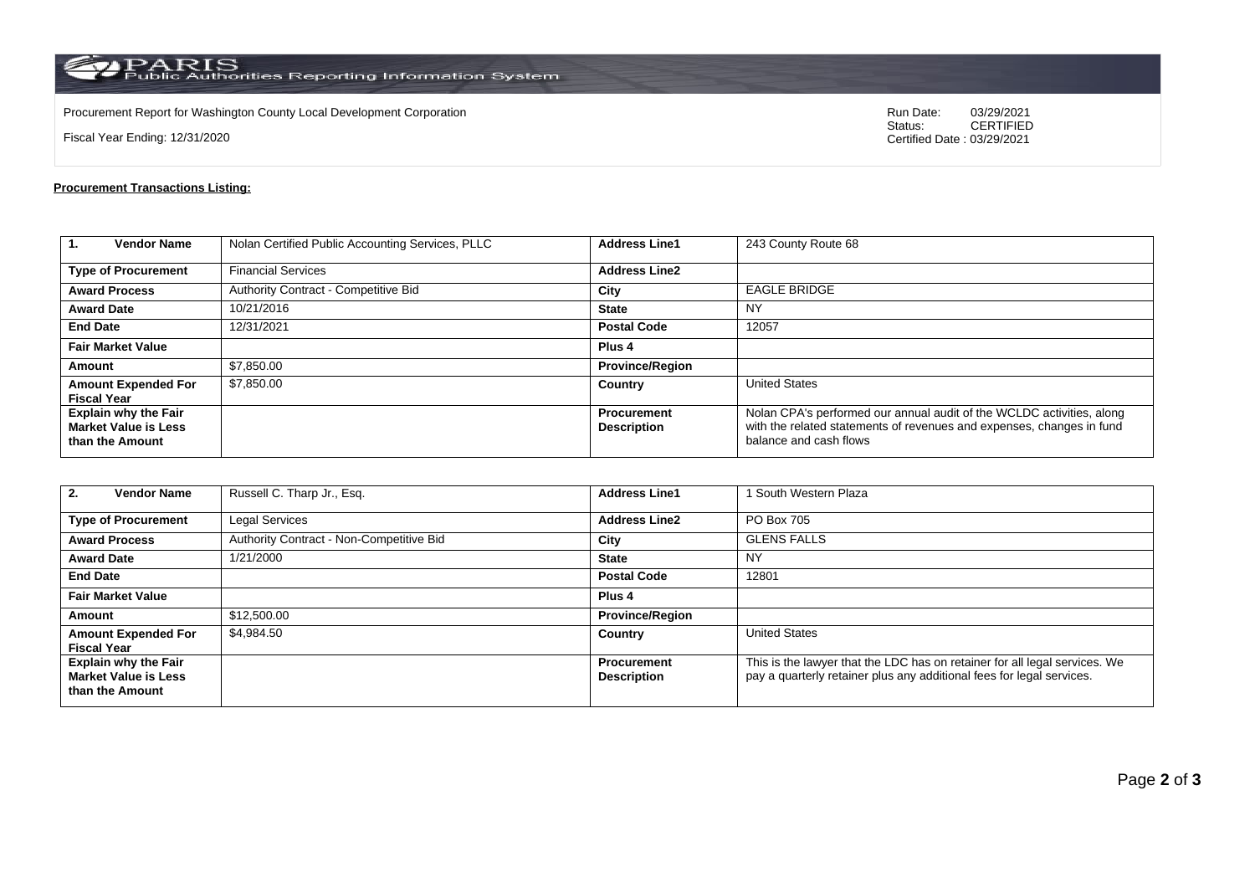$\rm PARS$  Public Authorities Reporting Information System

Procurement Report for Washington County Local Development Corporation **Run Date:** 03/29/2021<br>Status: CERTIFIED

Fiscal Year Ending: 12/31/2020

CERTIFIED Certified Date : 03/29/2021

## **Procurement Transactions Listing:**

| $\mathbf{1}$<br><b>Vendor Name</b>                                            | Nolan Certified Public Accounting Services, PLLC | <b>Address Line1</b>                     | 243 County Route 68                                                                                                                                                      |  |
|-------------------------------------------------------------------------------|--------------------------------------------------|------------------------------------------|--------------------------------------------------------------------------------------------------------------------------------------------------------------------------|--|
| <b>Type of Procurement</b>                                                    | <b>Financial Services</b>                        | <b>Address Line2</b>                     |                                                                                                                                                                          |  |
| <b>Award Process</b>                                                          | Authority Contract - Competitive Bid             | City                                     | <b>EAGLE BRIDGE</b>                                                                                                                                                      |  |
| <b>Award Date</b>                                                             | 10/21/2016                                       | <b>State</b>                             | ΝY                                                                                                                                                                       |  |
| <b>End Date</b>                                                               | 12/31/2021                                       | <b>Postal Code</b>                       | 12057                                                                                                                                                                    |  |
| <b>Fair Market Value</b>                                                      |                                                  | Plus <sub>4</sub>                        |                                                                                                                                                                          |  |
| Amount                                                                        | \$7,850.00                                       | <b>Province/Region</b>                   |                                                                                                                                                                          |  |
| <b>Amount Expended For</b><br><b>Fiscal Year</b>                              | \$7,850.00                                       | Country                                  | <b>United States</b>                                                                                                                                                     |  |
| <b>Explain why the Fair</b><br><b>Market Value is Less</b><br>than the Amount |                                                  | <b>Procurement</b><br><b>Description</b> | Nolan CPA's performed our annual audit of the WCLDC activities, along<br>with the related statements of revenues and expenses, changes in fund<br>balance and cash flows |  |

| <b>Vendor Name</b><br>2.                                                      | Russell C. Tharp Jr., Esq.               | <b>Address Line1</b>                     | South Western Plaza                                                                                                                                 |  |
|-------------------------------------------------------------------------------|------------------------------------------|------------------------------------------|-----------------------------------------------------------------------------------------------------------------------------------------------------|--|
| <b>Type of Procurement</b>                                                    | <b>Legal Services</b>                    | <b>Address Line2</b>                     | PO Box 705                                                                                                                                          |  |
| <b>Award Process</b>                                                          | Authority Contract - Non-Competitive Bid | City                                     | <b>GLENS FALLS</b>                                                                                                                                  |  |
| <b>Award Date</b>                                                             | 1/21/2000                                | <b>State</b>                             | <b>NY</b>                                                                                                                                           |  |
| <b>End Date</b>                                                               |                                          | <b>Postal Code</b>                       | 12801                                                                                                                                               |  |
| <b>Fair Market Value</b>                                                      |                                          | Plus <sub>4</sub>                        |                                                                                                                                                     |  |
| <b>Amount</b>                                                                 | \$12,500.00                              | <b>Province/Region</b>                   |                                                                                                                                                     |  |
| <b>Amount Expended For</b><br><b>Fiscal Year</b>                              | \$4,984.50                               | Country                                  | <b>United States</b>                                                                                                                                |  |
| <b>Explain why the Fair</b><br><b>Market Value is Less</b><br>than the Amount |                                          | <b>Procurement</b><br><b>Description</b> | This is the lawyer that the LDC has on retainer for all legal services. We<br>pay a quarterly retainer plus any additional fees for legal services. |  |